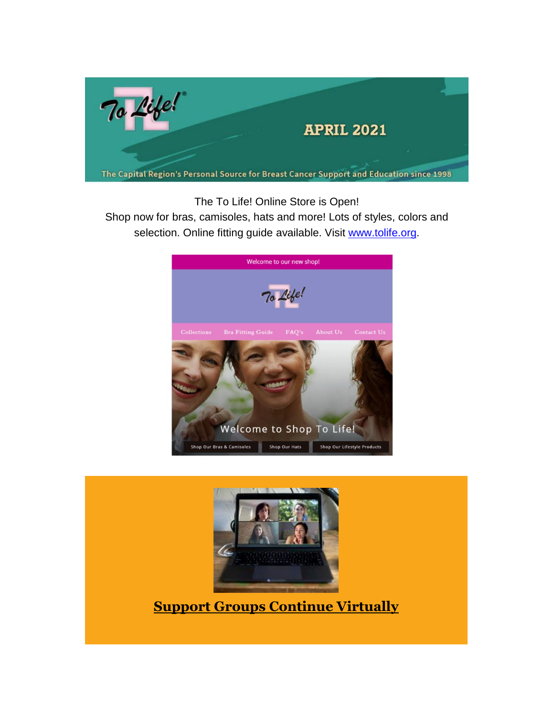

The To Life! Online Store is Open!

Shop now for bras, camisoles, hats and more! Lots of styles, colors and selection. Online fitting guide available. Visit [www.tolife.org.](http://www.tolife.org/)



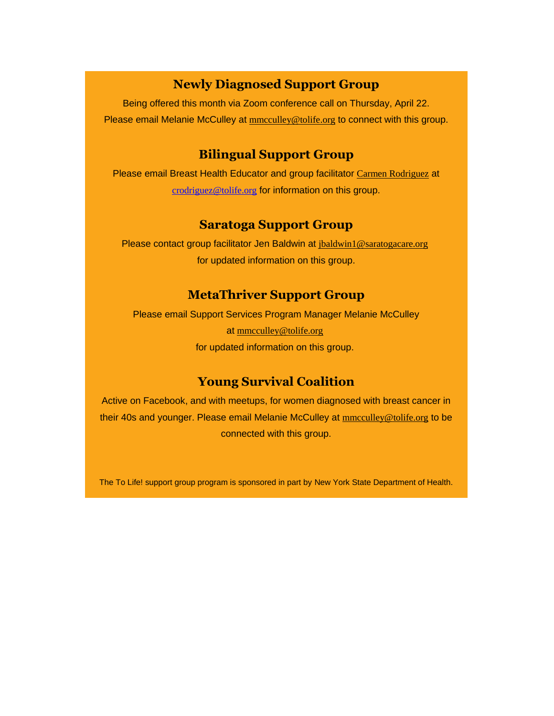## **Newly Diagnosed Support Group**

Being offered this month via Zoom conference call on Thursday, April 22. Please email Melanie McCulley at **[mmcculley@tolife.org](mailto:mmcculley@tolife.org)** to connect with this group.

#### **Bilingual Support Group**

Please email Breast Health Educator and group facilitator [Carmen Rodriguez](mailto:ccarmenrod@hotmail.com) at [crodriguez@tolife.org](mailto:crodriguez@tolife.org) for information on this group.

### **Saratoga Support Group**

Please contact group facilitator Jen Baldwin at [jbaldwin1@saratogacare.org](mailto:jbaldwin1@saratogacare.org) for updated information on this group.

#### **MetaThriver Support Group**

Please email Support Services Program Manager Melanie McCulley at [mmcculley@tolife.org](mailto:mmcculley@tolife.org) for updated information on this group.

## **Young Survival Coalition**

Active on Facebook, and with meetups, for women diagnosed with breast cancer in their 40s and younger. Please email Melanie McCulley at [mmcculley@tolife.org](mailto:mmcculley@tolife.org) to be connected with this group.

*The To Life! support group program is sponsored in part by New York State Department of Health.*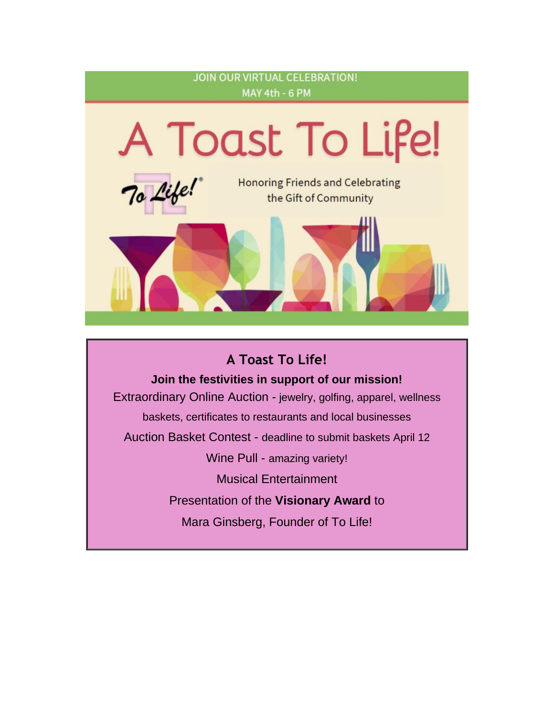

# **A Toast To Life!**

**Join the festivities in support of our mission!**

Extraordinary Online Auction - *jewelry, golfing, apparel, wellness baskets, certificates to restaurants and local businesses* Auction Basket Contest - *deadline to submit baskets April 12* Wine Pull - *amazing variety!* Musical Entertainment Presentation of the **Visionary Award** to Mara Ginsberg, Founder of To Life!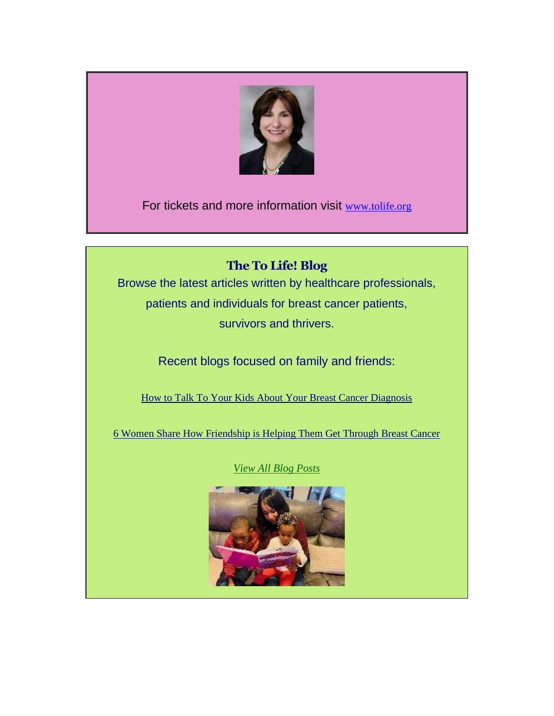

For tickets and more information visit [www.tolife.org](http://www.tolife.org/)

# **The To Life! Blog**

Browse the latest articles written by healthcare professionals, patients and individuals for breast cancer patients, survivors and thrivers.

*Recent blogs focused on family and friends:*

[How to Talk To Your Kids About Your Breast Cancer Diagnosis](https://tolife.us5.list-manage.com/track/click?u=241d59b897b4121e9d2e15914&id=2c74442b29&e=14acf428be)

[6 Women Share How Friendship is Helping Them Get Through Breast Cancer](https://tolife.us5.list-manage.com/track/click?u=241d59b897b4121e9d2e15914&id=902ea5a8c6&e=14acf428be)

*View [All Blog Posts](https://tolife.us5.list-manage.com/track/click?u=241d59b897b4121e9d2e15914&id=f4462d14ce&e=14acf428be)*

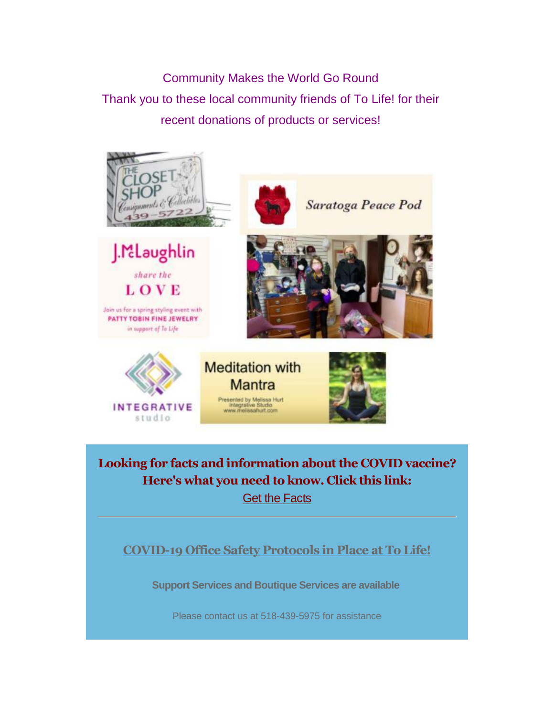Community Makes the World Go Round Thank you to these local community friends of To Life! for their recent donations of products or services!





in support of To Life

**INTEGRATIVE** studio



**Meditation with Mantra** Presented by Melissa Hurt<br>Integrative Studio<br>www.melissahurt.com



**Looking for facts and information about the COVID vaccine? Here's what you need to know. Click this link:** [Get the Facts](https://tolife.us5.list-manage.com/track/click?u=241d59b897b4121e9d2e15914&id=4b1a333875&e=14acf428be)

**COVID-19 Office Safety Protocols in Place at To Life!**

**Support Services and Boutique Services** *are* **available**

Please contact us at 518-439-5975 for assistance